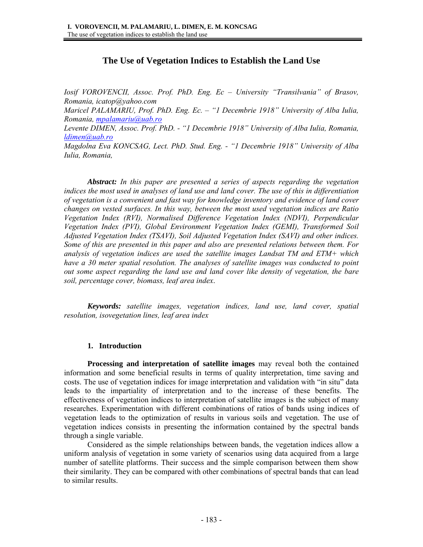# **The Use of Vegetation Indices to Establish the Land Use**

*Iosif VOROVENCII, Assoc. Prof. PhD. Eng. Ec – University "Transilvania" of Brasov, Romania, icatop@yahoo.com Maricel PALAMARIU, Prof. PhD. Eng. Ec. – "1 Decembrie 1918" University of Alba Iulia, Romania, mpalamariu@uab.ro Levente DIMEN, Assoc. Prof. PhD. - "1 Decembrie 1918" University of Alba Iulia, Romania, ldimen@uab.ro Magdolna Eva KONCSAG, Lect. PhD. Stud. Eng. - "1 Decembrie 1918" University of Alba* 

*Iulia, Romania,* 

*Abstract: In this paper are presented a series of aspects regarding the vegetation indices the most used in analyses of land use and land cover. The use of this in differentiation of vegetation is a convenient and fast way for knowledge inventory and evidence of land cover changes on vested surfaces. In this way, between the most used vegetation indices are Ratio Vegetation Index (RVI), Normalised Difference Vegetation Index (NDVI), Perpendicular Vegetation Index (PVI), Global Environment Vegetation Index (GEMI), Transformed Soil Adjusted Vegetation Index (TSAVI), Soil Adjusted Vegetation Index (SAVI) and other indices. Some of this are presented in this paper and also are presented relations between them. For analysis of vegetation indices are used the satellite images Landsat TM and ETM+ which have a 30 meter spatial resolution. The analyses of satellite images was conducted to point out some aspect regarding the land use and land cover like density of vegetation, the bare soil, percentage cover, biomass, leaf area index*.

*Keywords: satellite images, vegetation indices, land use, land cover, spatial resolution, isovegetation lines, leaf area index* 

## **1. Introduction**

**Processing and interpretation of satellite images** may reveal both the contained information and some beneficial results in terms of quality interpretation, time saving and costs. The use of vegetation indices for image interpretation and validation with "in situ" data leads to the impartiality of interpretation and to the increase of these benefits. The effectiveness of vegetation indices to interpretation of satellite images is the subject of many researches. Experimentation with different combinations of ratios of bands using indices of vegetation leads to the optimization of results in various soils and vegetation. The use of vegetation indices consists in presenting the information contained by the spectral bands through a single variable.

Considered as the simple relationships between bands, the vegetation indices allow a uniform analysis of vegetation in some variety of scenarios using data acquired from a large number of satellite platforms. Their success and the simple comparison between them show their similarity. They can be compared with other combinations of spectral bands that can lead to similar results.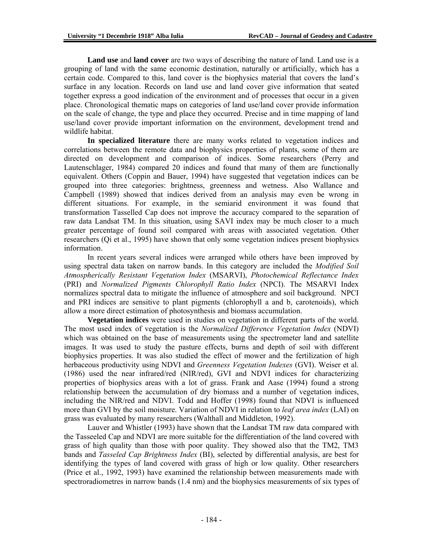**Land use** and **land cover** are two ways of describing the nature of land. Land use is a grouping of land with the same economic destination, naturally or artificially, which has a certain code. Compared to this, land cover is the biophysics material that covers the land's surface in any location. Records on land use and land cover give information that seated together express a good indication of the environment and of processes that occur in a given place. Chronological thematic maps on categories of land use/land cover provide information on the scale of change, the type and place they occurred. Precise and in time mapping of land use/land cover provide important information on the environment, development trend and wildlife habitat.

**In specialized literature** there are many works related to vegetation indices and correlations between the remote data and biophysics properties of plants, some of them are directed on development and comparison of indices. Some researchers (Perry and Lautenschlager, 1984) compared 20 indices and found that many of them are functionally equivalent. Others (Coppin and Bauer, 1994) have suggested that vegetation indices can be grouped into three categories: brightness, greenness and wetness. Also Wallance and Campbell (1989) showed that indices derived from an analysis may even be wrong in different situations. For example, in the semiarid environment it was found that transformation Tasselled Cap does not improve the accuracy compared to the separation of raw data Landsat TM. In this situation, using SAVI index may be much closer to a much greater percentage of found soil compared with areas with associated vegetation. Other researchers (Qi et al., 1995) have shown that only some vegetation indices present biophysics information.

In recent years several indices were arranged while others have been improved by using spectral data taken on narrow bands. In this category are included the *Modified Soil Atmospherically Resistant Vegetation Index* (MSARVI), *Photochemical Reflectance Index* (PRI) and *Normalized Pigments Chlorophyll Ratio Index* (NPCI). The MSARVI Index normalizes spectral data to mitigate the influence of atmosphere and soil background. NPCI and PRI indices are sensitive to plant pigments (chlorophyll a and b, carotenoids), which allow a more direct estimation of photosynthesis and biomass accumulation.

**Vegetation indices** were used in studies on vegetation in different parts of the world. The most used index of vegetation is the *Normalized Difference Vegetation Index* (NDVI) which was obtained on the base of measurements using the spectrometer land and satellite images. It was used to study the pasture effects, burns and depth of soil with different biophysics properties. It was also studied the effect of mower and the fertilization of high herbaceous productivity using NDVI and *Greenness Vegetation Indexes* (GVI). Weiser et al. (1986) used the near infrared/red (NIR/red), GVI and NDVI indices for characterizing properties of biophysics areas with a lot of grass. Frank and Aase (1994) found a strong relationship between the accumulation of dry biomass and a number of vegetation indices, including the NIR/red and NDVI. Todd and Hoffer (1998) found that NDVI is influenced more than GVI by the soil moisture. Variation of NDVI in relation to *leaf area index* (LAI) on grass was evaluated by many researchers (Walthall and Middleton, 1992).

Lauver and Whistler (1993) have shown that the Landsat TM raw data compared with the Tasseeled Cap and NDVI are more suitable for the differentiation of the land covered with grass of high quality than those with poor quality. They showed also that the TM2, TM3 bands and *Tasseled Cap Brightness Index* (BI), selected by differential analysis, are best for identifying the types of land covered with grass of high or low quality. Other researchers (Price et al., 1992, 1993) have examined the relationship between measurements made with spectroradiometres in narrow bands (1.4 nm) and the biophysics measurements of six types of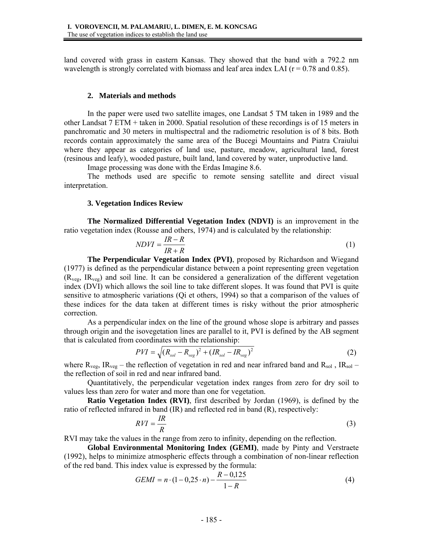land covered with grass in eastern Kansas. They showed that the band with a 792.2 nm wavelength is strongly correlated with biomass and leaf area index LAI ( $r = 0.78$  and 0.85).

#### **2. Materials and methods**

In the paper were used two satellite images, one Landsat 5 TM taken in 1989 and the other Landsat 7 ETM + taken in 2000. Spatial resolution of these recordings is of 15 meters in panchromatic and 30 meters in multispectral and the radiometric resolution is of 8 bits. Both records contain approximately the same area of the Bucegi Mountains and Piatra Craiului where they appear as categories of land use, pasture, meadow, agricultural land, forest (resinous and leafy), wooded pasture, built land, land covered by water, unproductive land.

Image processing was done with the Erdas Imagine 8.6.

The methods used are specific to remote sensing satellite and direct visual interpretation.

### **3. Vegetation Indices Review**

**The Normalized Differential Vegetation Index (NDVI)** is an improvement in the ratio vegetation index (Rousse and others, 1974) and is calculated by the relationship:

$$
NDVI = \frac{IR - R}{IR + R}
$$
 (1)

**The Perpendicular Vegetation Index (PVI)**, proposed by Richardson and Wiegand (1977) is defined as the perpendicular distance between a point representing green vegetation  $(R_{\text{vee}, IR}_{\text{vee}})$  and soil line. It can be considered a generalization of the different vegetation index (DVI) which allows the soil line to take different slopes. It was found that PVI is quite sensitive to atmospheric variations (Qi et others, 1994) so that a comparison of the values of these indices for the data taken at different times is risky without the prior atmospheric correction.

As a perpendicular index on the line of the ground whose slope is arbitrary and passes through origin and the isovegetation lines are parallel to it, PVI is defined by the AB segment that is calculated from coordinates with the relationship:

$$
PVI = \sqrt{(R_{sol} - R_{veg})^2 + (IR_{sol} - IR_{veg})^2}
$$
 (2)

where  $R_{veg}$ , I $R_{veg}$  – the reflection of vegetation in red and near infrared band and  $R_{sol}$ , I $R_{sol}$  – the reflection of soil in red and near infrared band.

Quantitatively, the perpendicular vegetation index ranges from zero for dry soil to values less than zero for water and more than one for vegetation.

**Ratio Vegetation Index (RVI)**, first described by Jordan (1969), is defined by the ratio of reflected infrared in band (IR) and reflected red in band (R), respectively:

$$
RVI = \frac{IR}{R} \tag{3}
$$

RVI may take the values in the range from zero to infinity, depending on the reflection.

**Global Environmental Monitoring Index (GEMI)**, made by Pinty and Verstraete (1992), helps to minimize atmospheric effects through a combination of non-linear reflection of the red band. This index value is expressed by the formula:

$$
GEMI = n \cdot (1 - 0.25 \cdot n) - \frac{R - 0.125}{1 - R} \tag{4}
$$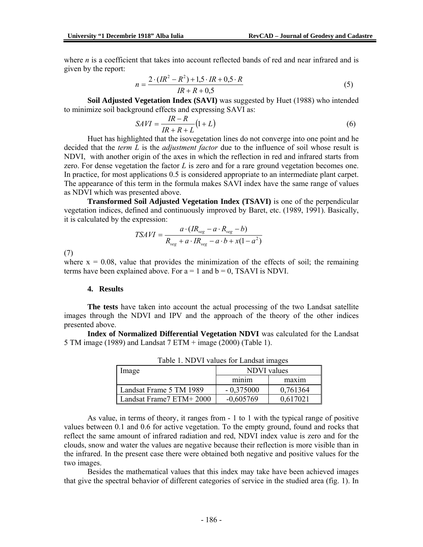where *n* is a coefficient that takes into account reflected bands of red and near infrared and is given by the report:

$$
n = \frac{2 \cdot (IR^2 - R^2) + 1.5 \cdot IR + 0.5 \cdot R}{IR + R + 0.5}
$$
 (5)

**Soil Adjusted Vegetation Index (SAVI)** was suggested by Huet (1988) who intended to minimize soil background effects and expressing SAVI as:

$$
SAVI = \frac{IR - R}{IR + R + L}(1 + L) \tag{6}
$$

Huet has highlighted that the isovegetation lines do not converge into one point and he decided that the *term L* is the *adjustment factor* due to the influence of soil whose result is NDVI, with another origin of the axes in which the reflection in red and infrared starts from zero. For dense vegetation the factor *L* is zero and for a rare ground vegetation becomes one. In practice, for most applications 0.5 is considered appropriate to an intermediate plant carpet. The appearance of this term in the formula makes SAVI index have the same range of values as NDVI which was presented above.

**Transformed Soil Adjusted Vegetation Index (TSAVI)** is one of the perpendicular vegetation indices, defined and continuously improved by Baret, etc. (1989, 1991). Basically, it is calculated by the expression:

$$
TSAVI = \frac{a \cdot (IR_{\text{veg}} - a \cdot R_{\text{veg}} - b)}{R_{\text{veg}} + a \cdot IR_{\text{veg}} - a \cdot b + x(1 - a^2)}
$$

(7)

where  $x = 0.08$ , value that provides the minimization of the effects of soil; the remaining terms have been explained above. For  $a = 1$  and  $b = 0$ , TSAVI is NDVI.

#### **4. Results**

**The tests** have taken into account the actual processing of the two Landsat satellite images through the NDVI and IPV and the approach of the theory of the other indices presented above.

**Index of Normalized Differential Vegetation NDVI** was calculated for the Landsat 5 TM image (1989) and Landsat 7 ETM + image (2000) (Table 1).

| Image                   | NDVI values |          |
|-------------------------|-------------|----------|
|                         | minim       | maxim    |
| Landsat Frame 5 TM 1989 | $-0,375000$ | 0,761364 |
| Landsat Frame7 ETM+2000 | $-0,605769$ | 0.617021 |

Table 1. NDVI values for Landsat images

As value, in terms of theory, it ranges from - 1 to 1 with the typical range of positive values between 0.1 and 0.6 for active vegetation. To the empty ground, found and rocks that reflect the same amount of infrared radiation and red, NDVI index value is zero and for the clouds, snow and water the values are negative because their reflection is more visible than in the infrared. In the present case there were obtained both negative and positive values for the two images.

Besides the mathematical values that this index may take have been achieved images that give the spectral behavior of different categories of service in the studied area (fig. 1). In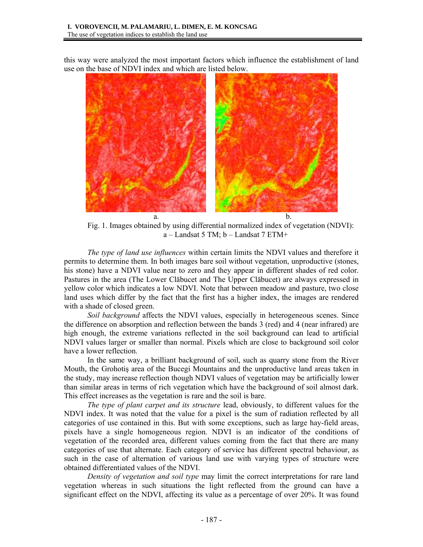this way were analyzed the most important factors which influence the establishment of land use on the base of NDVI index and which are listed below.



Fig. 1. Images obtained by using differential normalized index of vegetation (NDVI):  $a -$ Landsat 5 TM;  $b -$ Landsat 7 ETM+

*The type of land use influences* within certain limits the NDVI values and therefore it permits to determine them. In both images bare soil without vegetation, unproductive (stones, his stone) have a NDVI value near to zero and they appear in different shades of red color. Pastures in the area (The Lower Clăbucet and The Upper Clăbucet) are always expressed in yellow color which indicates a low NDVI. Note that between meadow and pasture, two close land uses which differ by the fact that the first has a higher index, the images are rendered with a shade of closed green.

*Soil background* affects the NDVI values, especially in heterogeneous scenes. Since the difference on absorption and reflection between the bands 3 (red) and 4 (near infrared) are high enough, the extreme variations reflected in the soil background can lead to artificial NDVI values larger or smaller than normal. Pixels which are close to background soil color have a lower reflection.

In the same way, a brilliant background of soil, such as quarry stone from the River Mouth, the Grohotiş area of the Bucegi Mountains and the unproductive land areas taken in the study, may increase reflection though NDVI values of vegetation may be artificially lower than similar areas in terms of rich vegetation which have the background of soil almost dark. This effect increases as the vegetation is rare and the soil is bare.

*The type of plant carpet and its structure* lead, obviously, to different values for the NDVI index. It was noted that the value for a pixel is the sum of radiation reflected by all categories of use contained in this. But with some exceptions, such as large hay-field areas, pixels have a single homogeneous region. NDVI is an indicator of the conditions of vegetation of the recorded area, different values coming from the fact that there are many categories of use that alternate. Each category of service has different spectral behaviour, as such in the case of alternation of various land use with varying types of structure were obtained differentiated values of the NDVI.

*Density of vegetation and soil type* may limit the correct interpretations for rare land vegetation whereas in such situations the light reflected from the ground can have a significant effect on the NDVI, affecting its value as a percentage of over 20%. It was found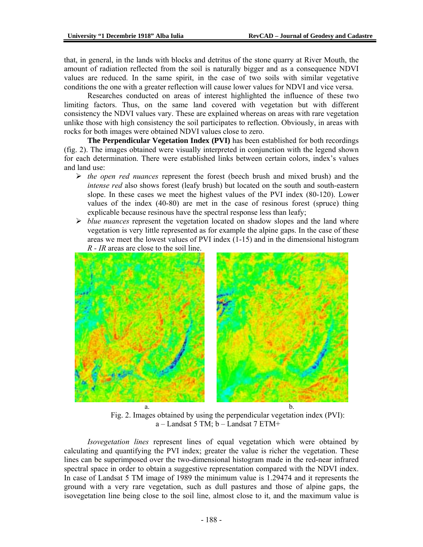that, in general, in the lands with blocks and detritus of the stone quarry at River Mouth, the amount of radiation reflected from the soil is naturally bigger and as a consequence NDVI values are reduced. In the same spirit, in the case of two soils with similar vegetative conditions the one with a greater reflection will cause lower values for NDVI and vice versa.

Researches conducted on areas of interest highlighted the influence of these two limiting factors. Thus, on the same land covered with vegetation but with different consistency the NDVI values vary. These are explained whereas on areas with rare vegetation unlike those with high consistency the soil participates to reflection. Obviously, in areas with rocks for both images were obtained NDVI values close to zero.

**The Perpendicular Vegetation Index (PVI)** has been established for both recordings (fig. 2). The images obtained were visually interpreted in conjunction with the legend shown for each determination. There were established links between certain colors, index's values and land use:

- ¾ *the open red nuances* represent the forest (beech brush and mixed brush) and the *intense red* also shows forest (leafy brush) but located on the south and south-eastern slope. In these cases we meet the highest values of the PVI index (80-120). Lower values of the index (40-80) are met in the case of resinous forest (spruce) thing explicable because resinous have the spectral response less than leafy;
- ¾ *blue nuances* represent the vegetation located on shadow slopes and the land where vegetation is very little represented as for example the alpine gaps. In the case of these areas we meet the lowest values of PVI index (1-15) and in the dimensional histogram *R - IR* areas are close to the soil line.



Fig. 2. Images obtained by using the perpendicular vegetation index (PVI):  $a -$ Landsat 5 TM;  $b -$ Landsat 7 ETM+

*Isovegetation lines* represent lines of equal vegetation which were obtained by calculating and quantifying the PVI index; greater the value is richer the vegetation. These lines can be superimposed over the two-dimensional histogram made in the red-near infrared spectral space in order to obtain a suggestive representation compared with the NDVI index. In case of Landsat 5 TM image of 1989 the minimum value is 1.29474 and it represents the ground with a very rare vegetation, such as dull pastures and those of alpine gaps, the isovegetation line being close to the soil line, almost close to it, and the maximum value is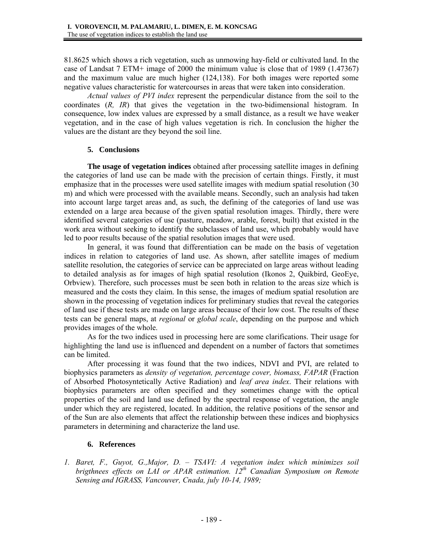81.8625 which shows a rich vegetation, such as unmowing hay-field or cultivated land. In the case of Landsat 7 ETM+ image of 2000 the minimum value is close that of 1989 (1.47367) and the maximum value are much higher (124,138). For both images were reported some negative values characteristic for watercourses in areas that were taken into consideration.

*Actual values of PVI index* represent the perpendicular distance from the soil to the coordinates (*R, IR*) that gives the vegetation in the two-bidimensional histogram. In consequence, low index values are expressed by a small distance, as a result we have weaker vegetation, and in the case of high values vegetation is rich. In conclusion the higher the values are the distant are they beyond the soil line.

## **5. Conclusions**

**The usage of vegetation indices** obtained after processing satellite images in defining the categories of land use can be made with the precision of certain things. Firstly, it must emphasize that in the processes were used satellite images with medium spatial resolution (30 m) and which were processed with the available means. Secondly, such an analysis had taken into account large target areas and, as such, the defining of the categories of land use was extended on a large area because of the given spatial resolution images. Thirdly, there were identified several categories of use (pasture, meadow, arable, forest, built) that existed in the work area without seeking to identify the subclasses of land use, which probably would have led to poor results because of the spatial resolution images that were used.

In general, it was found that differentiation can be made on the basis of vegetation indices in relation to categories of land use. As shown, after satellite images of medium satellite resolution, the categories of service can be appreciated on large areas without leading to detailed analysis as for images of high spatial resolution (Ikonos 2, Quikbird, GeoEye, Orbview). Therefore, such processes must be seen both in relation to the areas size which is measured and the costs they claim. In this sense, the images of medium spatial resolution are shown in the processing of vegetation indices for preliminary studies that reveal the categories of land use if these tests are made on large areas because of their low cost. The results of these tests can be general maps, at *regional* or *global scale*, depending on the purpose and which provides images of the whole.

As for the two indices used in processing here are some clarifications. Their usage for highlighting the land use is influenced and dependent on a number of factors that sometimes can be limited.

After processing it was found that the two indices, NDVI and PVI, are related to biophysics parameters as *density of vegetation, percentage cover, biomass, FAPAR* (Fraction of Absorbed Photosyntetically Active Radiation) and *leaf area index*. Their relations with biophysics parameters are often specified and they sometimes change with the optical properties of the soil and land use defined by the spectral response of vegetation, the angle under which they are registered, located. In addition, the relative positions of the sensor and of the Sun are also elements that affect the relationship between these indices and biophysics parameters in determining and characterize the land use.

# **6. References**

*1. Baret, F., Guyot, G.,Major, D. – TSAVI: A vegetation index which minimizes soil brigthnees effects on LAI or APAR estimation.* 12<sup>th</sup> Canadian Symposium on Remote *Sensing and IGRASS, Vancouver, Cnada, july 10-14, 1989;*